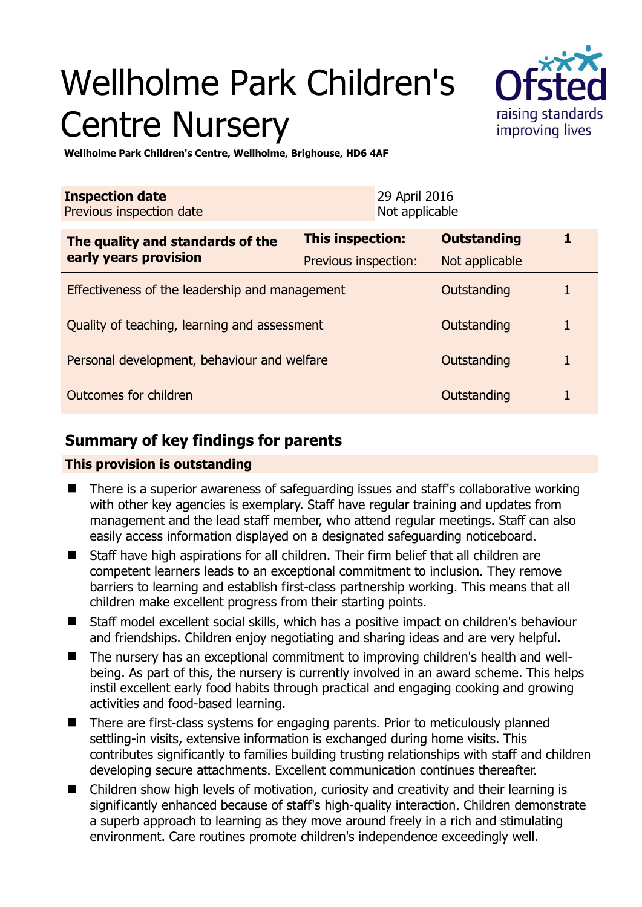# Wellholme Park Children's Centre Nursery



**Wellholme Park Children's Centre, Wellholme, Brighouse, HD6 4AF** 

| <b>Inspection date</b><br>Previous inspection date        |                      | 29 April 2016<br>Not applicable |                    |   |
|-----------------------------------------------------------|----------------------|---------------------------------|--------------------|---|
| The quality and standards of the<br>early years provision | This inspection:     |                                 | <b>Outstanding</b> | 1 |
|                                                           | Previous inspection: |                                 | Not applicable     |   |
| Effectiveness of the leadership and management            |                      |                                 | Outstanding        |   |
| Quality of teaching, learning and assessment              |                      |                                 | Outstanding        | 1 |
| Personal development, behaviour and welfare               |                      |                                 | Outstanding        | 1 |
| Outcomes for children                                     |                      |                                 | Outstanding        |   |

# **Summary of key findings for parents**

## **This provision is outstanding**

- There is a superior awareness of safeguarding issues and staff's collaborative working with other key agencies is exemplary. Staff have regular training and updates from management and the lead staff member, who attend regular meetings. Staff can also easily access information displayed on a designated safeguarding noticeboard.
- Staff have high aspirations for all children. Their firm belief that all children are competent learners leads to an exceptional commitment to inclusion. They remove barriers to learning and establish first-class partnership working. This means that all children make excellent progress from their starting points.
- Staff model excellent social skills, which has a positive impact on children's behaviour and friendships. Children enjoy negotiating and sharing ideas and are very helpful.
- The nursery has an exceptional commitment to improving children's health and wellbeing. As part of this, the nursery is currently involved in an award scheme. This helps instil excellent early food habits through practical and engaging cooking and growing activities and food-based learning.
- There are first-class systems for engaging parents. Prior to meticulously planned settling-in visits, extensive information is exchanged during home visits. This contributes significantly to families building trusting relationships with staff and children developing secure attachments. Excellent communication continues thereafter.
- Children show high levels of motivation, curiosity and creativity and their learning is significantly enhanced because of staff's high-quality interaction. Children demonstrate a superb approach to learning as they move around freely in a rich and stimulating environment. Care routines promote children's independence exceedingly well.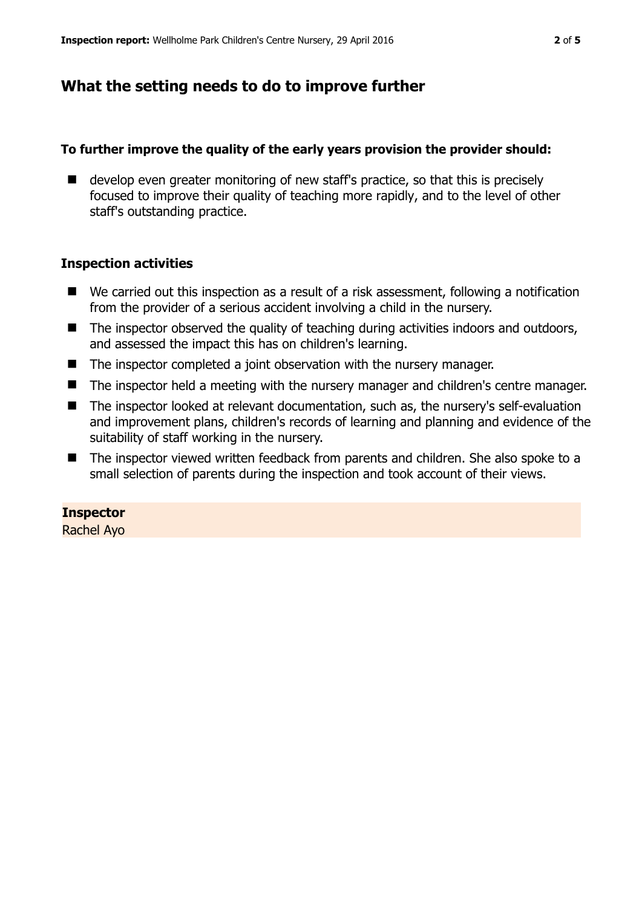## **What the setting needs to do to improve further**

## **To further improve the quality of the early years provision the provider should:**

 $\blacksquare$  develop even greater monitoring of new staff's practice, so that this is precisely focused to improve their quality of teaching more rapidly, and to the level of other staff's outstanding practice.

## **Inspection activities**

- We carried out this inspection as a result of a risk assessment, following a notification from the provider of a serious accident involving a child in the nursery.
- The inspector observed the quality of teaching during activities indoors and outdoors, and assessed the impact this has on children's learning.
- The inspector completed a joint observation with the nursery manager.
- The inspector held a meeting with the nursery manager and children's centre manager.
- The inspector looked at relevant documentation, such as, the nursery's self-evaluation and improvement plans, children's records of learning and planning and evidence of the suitability of staff working in the nursery.
- The inspector viewed written feedback from parents and children. She also spoke to a small selection of parents during the inspection and took account of their views.

## **Inspector**

Rachel Ayo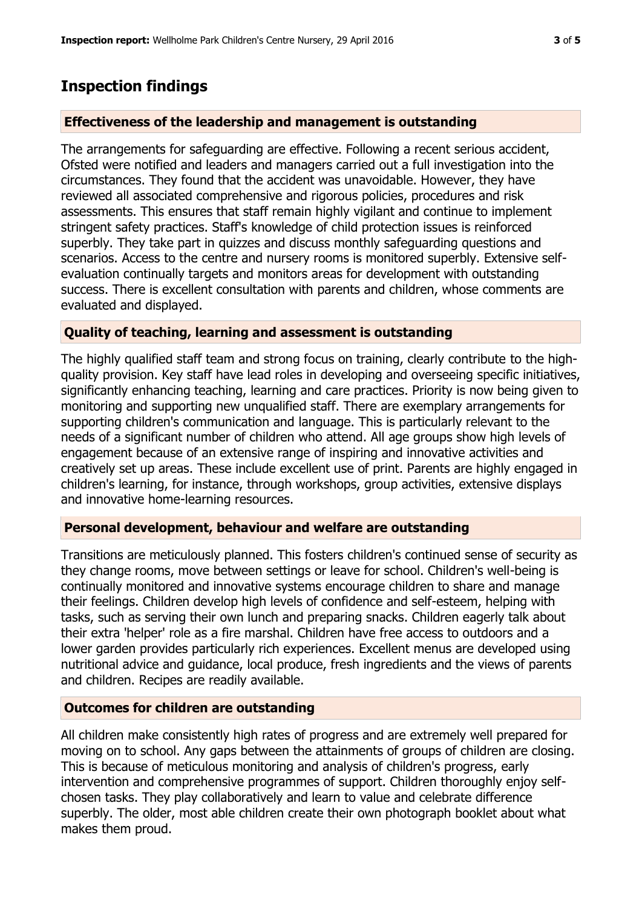## **Inspection findings**

### **Effectiveness of the leadership and management is outstanding**

The arrangements for safeguarding are effective. Following a recent serious accident, Ofsted were notified and leaders and managers carried out a full investigation into the circumstances. They found that the accident was unavoidable. However, they have reviewed all associated comprehensive and rigorous policies, procedures and risk assessments. This ensures that staff remain highly vigilant and continue to implement stringent safety practices. Staff's knowledge of child protection issues is reinforced superbly. They take part in quizzes and discuss monthly safeguarding questions and scenarios. Access to the centre and nursery rooms is monitored superbly. Extensive selfevaluation continually targets and monitors areas for development with outstanding success. There is excellent consultation with parents and children, whose comments are evaluated and displayed.

#### **Quality of teaching, learning and assessment is outstanding**

The highly qualified staff team and strong focus on training, clearly contribute to the highquality provision. Key staff have lead roles in developing and overseeing specific initiatives, significantly enhancing teaching, learning and care practices. Priority is now being given to monitoring and supporting new unqualified staff. There are exemplary arrangements for supporting children's communication and language. This is particularly relevant to the needs of a significant number of children who attend. All age groups show high levels of engagement because of an extensive range of inspiring and innovative activities and creatively set up areas. These include excellent use of print. Parents are highly engaged in children's learning, for instance, through workshops, group activities, extensive displays and innovative home-learning resources.

## **Personal development, behaviour and welfare are outstanding**

Transitions are meticulously planned. This fosters children's continued sense of security as they change rooms, move between settings or leave for school. Children's well-being is continually monitored and innovative systems encourage children to share and manage their feelings. Children develop high levels of confidence and self-esteem, helping with tasks, such as serving their own lunch and preparing snacks. Children eagerly talk about their extra 'helper' role as a fire marshal. Children have free access to outdoors and a lower garden provides particularly rich experiences. Excellent menus are developed using nutritional advice and guidance, local produce, fresh ingredients and the views of parents and children. Recipes are readily available.

#### **Outcomes for children are outstanding**

All children make consistently high rates of progress and are extremely well prepared for moving on to school. Any gaps between the attainments of groups of children are closing. This is because of meticulous monitoring and analysis of children's progress, early intervention and comprehensive programmes of support. Children thoroughly enjoy selfchosen tasks. They play collaboratively and learn to value and celebrate difference superbly. The older, most able children create their own photograph booklet about what makes them proud.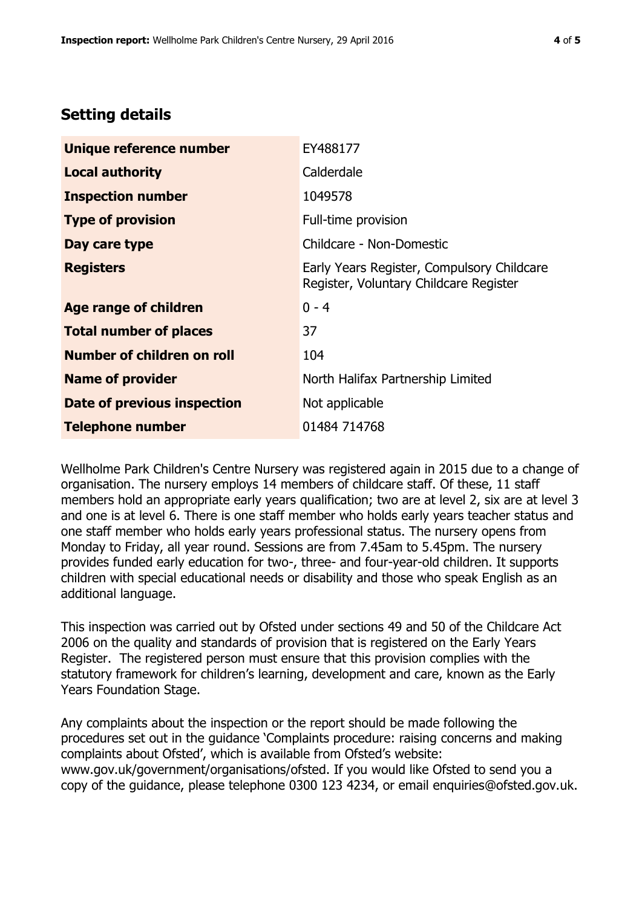# **Setting details**

| Unique reference number       | EY488177                                                                             |  |
|-------------------------------|--------------------------------------------------------------------------------------|--|
| <b>Local authority</b>        | Calderdale                                                                           |  |
| <b>Inspection number</b>      | 1049578                                                                              |  |
| <b>Type of provision</b>      | Full-time provision                                                                  |  |
| Day care type                 | Childcare - Non-Domestic                                                             |  |
| <b>Registers</b>              | Early Years Register, Compulsory Childcare<br>Register, Voluntary Childcare Register |  |
| <b>Age range of children</b>  | $0 - 4$                                                                              |  |
| <b>Total number of places</b> | 37                                                                                   |  |
| Number of children on roll    | 104                                                                                  |  |
| <b>Name of provider</b>       | North Halifax Partnership Limited                                                    |  |
| Date of previous inspection   | Not applicable                                                                       |  |
| <b>Telephone number</b>       | 01484 714768                                                                         |  |

Wellholme Park Children's Centre Nursery was registered again in 2015 due to a change of organisation. The nursery employs 14 members of childcare staff. Of these, 11 staff members hold an appropriate early years qualification; two are at level 2, six are at level 3 and one is at level 6. There is one staff member who holds early years teacher status and one staff member who holds early years professional status. The nursery opens from Monday to Friday, all year round. Sessions are from 7.45am to 5.45pm. The nursery provides funded early education for two-, three- and four-year-old children. It supports children with special educational needs or disability and those who speak English as an additional language.

This inspection was carried out by Ofsted under sections 49 and 50 of the Childcare Act 2006 on the quality and standards of provision that is registered on the Early Years Register. The registered person must ensure that this provision complies with the statutory framework for children's learning, development and care, known as the Early Years Foundation Stage.

Any complaints about the inspection or the report should be made following the procedures set out in the guidance 'Complaints procedure: raising concerns and making complaints about Ofsted', which is available from Ofsted's website: www.gov.uk/government/organisations/ofsted. If you would like Ofsted to send you a copy of the guidance, please telephone 0300 123 4234, or email enquiries@ofsted.gov.uk.